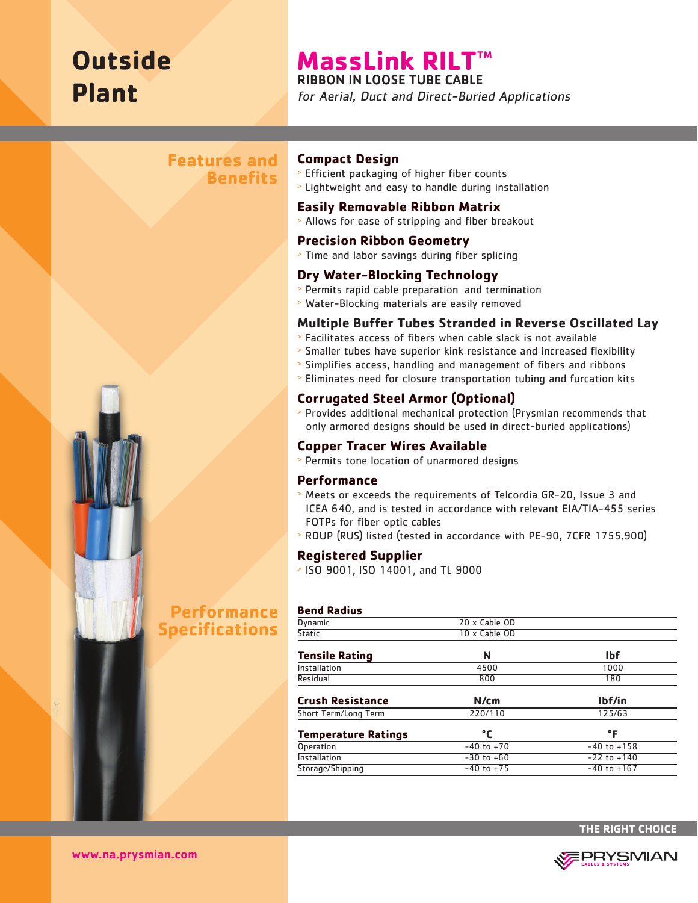# **Outside Plant**

## **MassLink RILT™**

RIBBON IN LOOSE TUBE CABLE

for Aerial, Duct and Direct-Buried Applications

## **Features and Benefits**



#### **Compact Design**

- <sup>&</sup>gt; Efficient packaging of higher fiber counts
- <sup>&</sup>gt; Lightweight and easy to handle during installation

#### **Easily Removable Ribbon Matrix**

<sup>&</sup>gt; Allows for ease of stripping and fiber breakout

#### **Precision Ribbon Geometry**

<sup>&</sup>gt; Time and labor savings during fiber splicing

#### **Dry Water-Blocking Technology**

- <sup>&</sup>gt; Permits rapid cable preparation and termination
- <sup>&</sup>gt; Water-Blocking materials are easily removed

#### **Multiple Buffer Tubes Stranded in Reverse Oscillated Lay**

- <sup>&</sup>gt; Facilitates access of fibers when cable slack is not available
- > Smaller tubes have superior kink resistance and increased flexibility
- <sup>&</sup>gt; Simplifies access, handling and management of fibers and ribbons
- <sup>&</sup>gt; Eliminates need for closure transportation tubing and furcation kits

#### **Corrugated Steel Armor (Optional)**

<sup>&</sup>gt; Provides additional mechanical protection (Prysmian recommends that only armored designs should be used in direct-buried applications)

#### **Copper Tracer Wires Available**

<sup>&</sup>gt; Permits tone location of unarmored designs

#### **Performance**

- <sup>&</sup>gt; Meets or exceeds the requirements of Telcordia GR-20, Issue 3 and ICEA 640, and is tested in accordance with relevant EIA/TIA-455 series FOTPs for fiber optic cables
- <sup>&</sup>gt; RDUP (RUS) listed (tested in accordance with PE-90, 7CFR 1755.900)

#### **Registered Supplier**

<sup>&</sup>gt; ISO 9001, ISO 14001, and TL 9000

#### **Bend Radius**

| <b>Dynamic</b>             | 20 x Cable OD  |                 |  |
|----------------------------|----------------|-----------------|--|
| <b>Static</b>              | 10 x Cable OD  |                 |  |
| <b>Tensile Rating</b>      | N              | <b>Ibf</b>      |  |
| Installation               | 4500           | 1000            |  |
| Residual                   | 800            | 180             |  |
| <b>Crush Resistance</b>    | N/cm           | lbf/in          |  |
| Short Term/Long Term       | 220/110        | 125/63          |  |
| <b>Temperature Ratings</b> | °C             | °F              |  |
| Operation                  | $-40$ to $+70$ | $-40$ to $+158$ |  |
| Installation               | $-30$ to $+60$ | $-22$ to $+140$ |  |
| Storage/Shipping           | $-40$ to $+75$ | $-40$ to $+167$ |  |
|                            |                |                 |  |



www.na.prysmian.com